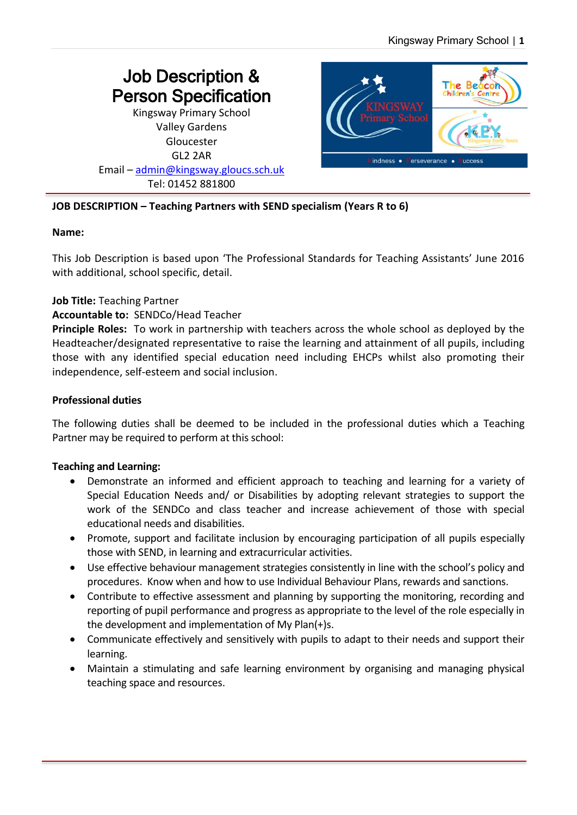# Job Description & Person Specification Kingsway Primary School

Valley Gardens Gloucester GL2 2AR Email – [admin@kingsway.gloucs.sch.uk](mailto:admin@kingsway.gloucs.sch.uk)

Tel: 01452 881800



## **JOB DESCRIPTION – Teaching Partners with SEND specialism (Years R to 6)**

#### **Name:**

This Job Description is based upon 'The Professional Standards for Teaching Assistants' June 2016 with additional, school specific, detail.

#### **Job Title:** Teaching Partner

#### **Accountable to:** SENDCo/Head Teacher

**Principle Roles:** To work in partnership with teachers across the whole school as deployed by the Headteacher/designated representative to raise the learning and attainment of all pupils, including those with any identified special education need including EHCPs whilst also promoting their independence, self-esteem and social inclusion.

#### **Professional duties**

The following duties shall be deemed to be included in the professional duties which a Teaching Partner may be required to perform at this school:

#### **Teaching and Learning:**

- Demonstrate an informed and efficient approach to teaching and learning for a variety of Special Education Needs and/ or Disabilities by adopting relevant strategies to support the work of the SENDCo and class teacher and increase achievement of those with special educational needs and disabilities.
- Promote, support and facilitate inclusion by encouraging participation of all pupils especially those with SEND, in learning and extracurricular activities.
- Use effective behaviour management strategies consistently in line with the school's policy and procedures. Know when and how to use Individual Behaviour Plans, rewards and sanctions.
- Contribute to effective assessment and planning by supporting the monitoring, recording and reporting of pupil performance and progress as appropriate to the level of the role especially in the development and implementation of My Plan(+)s.
- Communicate effectively and sensitively with pupils to adapt to their needs and support their learning.
- Maintain a stimulating and safe learning environment by organising and managing physical teaching space and resources.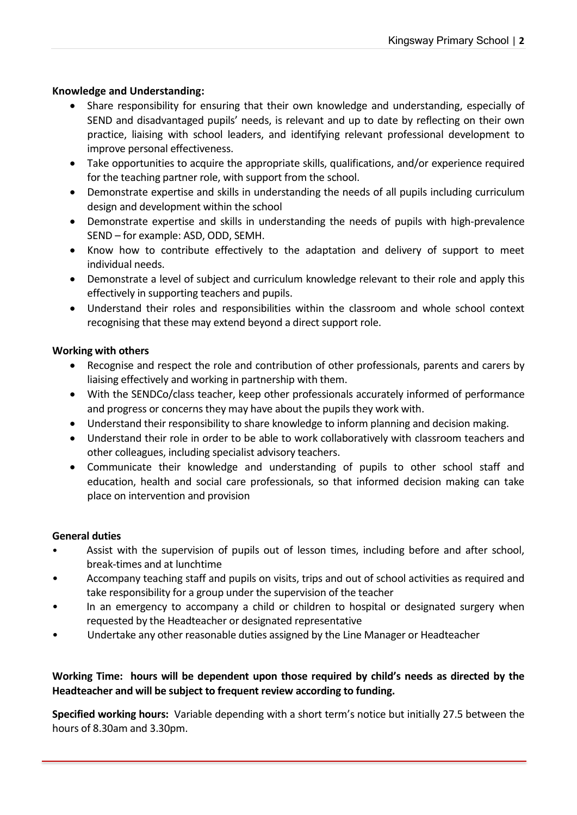#### **Knowledge and Understanding:**

- Share responsibility for ensuring that their own knowledge and understanding, especially of SEND and disadvantaged pupils' needs, is relevant and up to date by reflecting on their own practice, liaising with school leaders, and identifying relevant professional development to improve personal effectiveness.
- Take opportunities to acquire the appropriate skills, qualifications, and/or experience required for the teaching partner role, with support from the school.
- Demonstrate expertise and skills in understanding the needs of all pupils including curriculum design and development within the school
- Demonstrate expertise and skills in understanding the needs of pupils with high-prevalence SEND – for example: ASD, ODD, SEMH.
- Know how to contribute effectively to the adaptation and delivery of support to meet individual needs.
- Demonstrate a level of subject and curriculum knowledge relevant to their role and apply this effectively in supporting teachers and pupils.
- Understand their roles and responsibilities within the classroom and whole school context recognising that these may extend beyond a direct support role.

#### **Working with others**

- Recognise and respect the role and contribution of other professionals, parents and carers by liaising effectively and working in partnership with them.
- With the SENDCo/class teacher, keep other professionals accurately informed of performance and progress or concerns they may have about the pupils they work with.
- Understand their responsibility to share knowledge to inform planning and decision making.
- Understand their role in order to be able to work collaboratively with classroom teachers and other colleagues, including specialist advisory teachers.
- Communicate their knowledge and understanding of pupils to other school staff and education, health and social care professionals, so that informed decision making can take place on intervention and provision

#### **General duties**

- Assist with the supervision of pupils out of lesson times, including before and after school, break-times and at lunchtime
- Accompany teaching staff and pupils on visits, trips and out of school activities as required and take responsibility for a group under the supervision of the teacher
- In an emergency to accompany a child or children to hospital or designated surgery when requested by the Headteacher or designated representative
- Undertake any other reasonable duties assigned by the Line Manager or Headteacher

## **Working Time: hours will be dependent upon those required by child's needs as directed by the Headteacher and will be subject to frequent review according to funding.**

**Specified working hours:** Variable depending with a short term's notice but initially 27.5 between the hours of 8.30am and 3.30pm.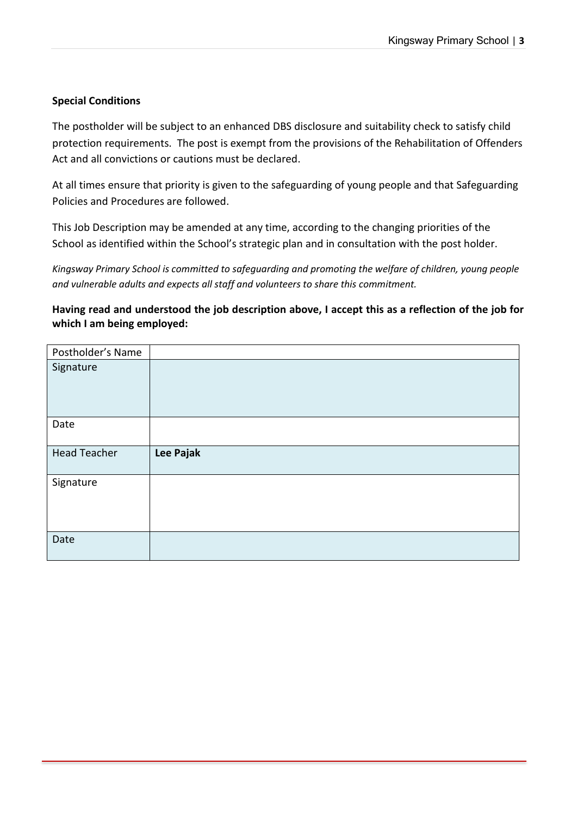#### **Special Conditions**

The postholder will be subject to an enhanced DBS disclosure and suitability check to satisfy child protection requirements. The post is exempt from the provisions of the Rehabilitation of Offenders Act and all convictions or cautions must be declared.

At all times ensure that priority is given to the safeguarding of young people and that Safeguarding Policies and Procedures are followed.

This Job Description may be amended at any time, according to the changing priorities of the School as identified within the School's strategic plan and in consultation with the post holder.

*Kingsway Primary School is committed to safeguarding and promoting the welfare of children, young people and vulnerable adults and expects all staff and volunteers to share this commitment.*

**Having read and understood the job description above, I accept this as a reflection of the job for which I am being employed:**

| Postholder's Name   |           |
|---------------------|-----------|
| Signature           |           |
| Date                |           |
| <b>Head Teacher</b> | Lee Pajak |
| Signature           |           |
| Date                |           |